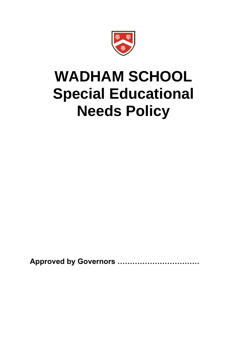

# **WADHAM SCHOOL Special Educational Needs Policy**

**Approved by Governors ……………………………**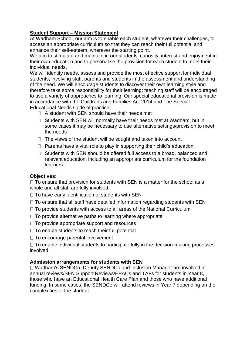# **Student Support – Mission Statement**

At Wadham School, our aim is to enable each student, whatever their challenges, to access an appropriate curriculum so that they can reach their full potential and enhance their self-esteem, wherever the starting point.

We aim to stimulate and maintain in our students' curiosity, interest and enjoyment in their own education and to personalise the provision for each student to meet their individual needs.

We will identify needs, assess and provide the most effective support for individual students, involving staff, parents and students in the assessment and understanding of the need. We will encourage students to discover their own learning style and therefore take some responsibility for their learning; teaching staff will be encouraged to use a variety of approaches to learning. Our special educational provision is made in accordance with the Childrens and Families Act 2014 and The Special Educational Needs Code of practice:

- $\Box$  A student with SFN should have their needs met
- $\Box$  Students with SEN will normally have their needs met at Wadham, but in some cases it may be necessary to use alternative settings/provision to meet the needs
- $\Box$  The views of the student will be sought and taken into account
- $\Box$  Parents have a vital role to play in supporting their child's education
- $\Box$  Students with SEN should be offered full access to a broad, balanced and relevant education, including an appropriate curriculum for the foundation learners

## **Objectives:**

 $\Box$  To ensure that provision for students with SEN is a matter for the school as a whole and all staff are fully involved.

 $\Box$  To have early identification of students with SEN

- $\Box$  To ensure that all staff have detailed information regarding students with SEN
- $\Box$  To provide students with access to all areas of the National Curriculum
- $\Box$  To provide alternative paths to learning where appropriate
- $\Box$  To provide appropriate support and resources
- $\Box$  To enable students to reach their full potential
- $\Box$  To encourage parental involvement

 $\Box$  To enable individual students to participate fully in the decision-making processes involved

## **Admission arrangements for students with SEN**

□ Wadham's SENDCo, Deputy SENDCo and Inclusion Manager are involved in annual reviews/SEN Support Reviews/EPACs and TAFs for students in Year 8, those who have an Educational Health Care Plan and those who have additional funding. In some cases, the SENDCo will attend reviews in Year 7 depending on the complexities of the student.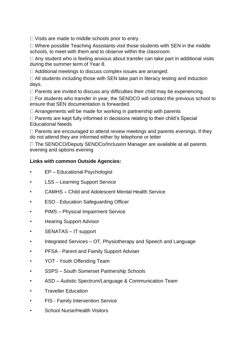$\Box$  Visits are made to middle schools prior to entry.

 $\Box$  Where possible Teaching Assistants visit those students with SEN in the middle schools, to meet with them and to observe within the classroom

 $\Box$  Any student who is feeling anxious about transfer can take part in additional visits during the summer term of Year 8.

 $\Box$  Additional meetings to discuss complex issues are arranged.

□ All students including those with SEN take part in literacy testing and induction days.

 $\Box$  Parents are invited to discuss any difficulties their child may be experiencing.

 $\Box$  For students who transfer in year, the SENDCO will contact the previous school to ensure that SEN documentation is forwarded.

 $\Box$  Arrangements will be made for working in partnership with parents

 $\Box$  Parents are kept fully informed in decisions relating to their child's Special Educational Needs

 $\Box$  Parents are encouraged to attend review meetings and parents evenings. If they do not attend they are informed either by telephone or letter

 $\Box$  The SENDCO/Deputy SENDCo/Inclusion Manager are available at all parents evening and options evening

## **Links with common Outside Agencies:**

- EP Educational Psychologist
- LSS Learning Support Service
- CAMHS Child and Adolescent Mental Health Service
- ESO Education Safeguarding Officer
- PIMS Physical Impairment Service
- Hearing Support Advisor
- SENATAS IT support
- Integrated Services OT, Physiotherapy and Speech and Language
- PFSA Parent and Family Support Adviser
- YOT Youth Offending Team
- SSPS South Somerset Partnership Schools
- ASD Autistic Spectrum/Language & Communication Team
- Traveller Education
- FIS Family Intervention Service
- School Nurse/Health Visitors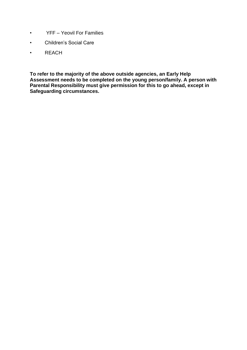- YFF Yeovil For Families
- Children's Social Care
- REACH

**To refer to the majority of the above outside agencies, an Early Help Assessment needs to be completed on the young person/family. A person with Parental Responsibility must give permission for this to go ahead, except in Safeguarding circumstances.**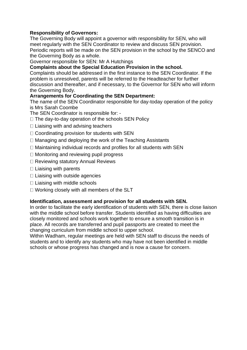## **Responsibility of Governors:**

The Governing Body will appoint a governor with responsibility for SEN, who will meet regularly with the SEN Coordinator to review and discuss SEN provision. Periodic reports will be made on the SEN provision in the school by the SENCO and the Governing Body as a whole.

Governor responsible for SEN: Mr A Hutchings

## **Complaints about the Special Education Provision in the school.**

Complaints should be addressed in the first instance to the SEN Coordinator. If the problem is unresolved, parents will be referred to the Headteacher for further discussion and thereafter, and if necessary, to the Governor for SEN who will inform the Governing Body.

## **Arrangements for Coordinating the SEN Department:**

The name of the SEN Coordinator responsible for day-today operation of the policy is Mrs Sarah Coombe

The SEN Coordinator is responsible for: -

- $\Box$  The day-to-day operation of the schools SEN Policy
- $\Box$  Liaising with and advising teachers
- $\Box$  Coordinating provision for students with SEN
- $\Box$  Managing and deploying the work of the Teaching Assistants
- $\Box$  Maintaining individual records and profiles for all students with SEN
- $\Box$  Monitoring and reviewing pupil progress
- □ Reviewing statutory Annual Reviews
- $\Box$  Liaising with parents
- $\Box$  Liaising with outside agencies
- $\Box$  Liaising with middle schools
- $\Box$  Working closely with all members of the SLT

## **Identification, assessment and provision for all students with SEN.**

In order to facilitate the early identification of students with SEN, there is close liaison with the middle school before transfer. Students identified as having difficulties are closely monitored and schools work together to ensure a smooth transition is in place. All records are transferred and pupil passports are created to meet the changing curriculum from middle school to upper school.

Within Wadham, regular meetings are held with SEN staff to discuss the needs of students and to identify any students who may have not been identified in middle schools or whose progress has changed and is now a cause for concern.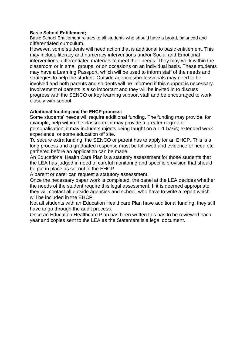#### **Basic School Entitlement;**

Basic School Entitlement relates to all students who should have a broad, balanced and differentiated curriculum.

However, some students will need action that is additional to basic entitlement. This may include literacy and numeracy interventions and/or Social and Emotional interventions, differentiated materials to meet their needs. They may work within the classroom or in small groups, or on occasions on an individual basis. These students may have a Learning Passport, which will be used to inform staff of the needs and strategies to help the student. Outside agencies/professionals may need to be involved and both parents and students will be informed if this support is necessary. Involvement of parents is also important and they will be invited in to discuss progress with the SENCO or key learning support staff and be encouraged to work closely with school.

#### **Additional funding and the EHCP process:**

Some students' needs will require additional funding. The funding may provide, for example, help within the classroom; it may provide a greater degree of personalisation; it may include subjects being taught on a 1-1 basis; extended work experience, or some education off site.

To secure extra funding, the SENCO or parent has to apply for an EHCP. This is a long process and a graduated response must be followed and evidence of need etc. gathered before an application can be made.

An Educational Health Care Plan is a statutory assessment for those students that the LEA has judged in need of careful monitoring and specific provision that should be put in place as set out in the EHCP

A parent or carer can request a statutory assessment.

Once the necessary paper work is completed, the panel at the LEA decides whether the needs of the student require this legal assessment. If it is deemed appropriate they will contact all outside agencies and school, who have to write a report which will be included in the EHCP.

Not all students with an Education Healthcare Plan have additional funding; they still have to go through the audit process.

Once an Education Healthcare Plan has been written this has to be reviewed each year and copies sent to the LEA as the Statement is a legal document.